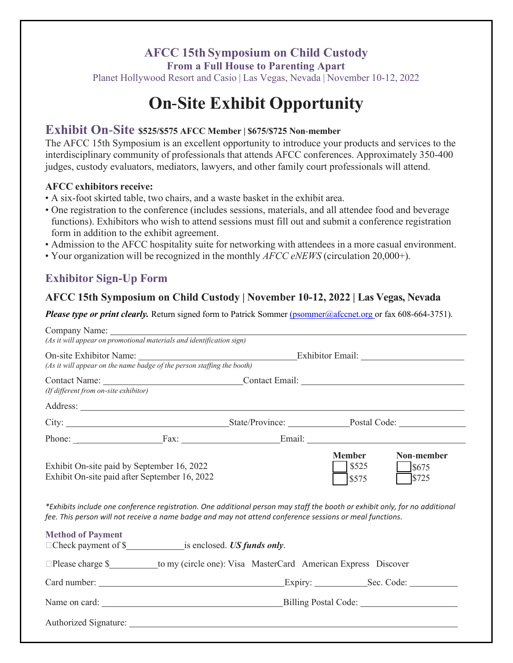# **AFCC 15th Symposium on Child Custody**

**From a Full House to Parenting Apart**

Planet Hollywood Resort and Casio | Las Vegas, Nevada | November 10-12, 2022

# **On Site Exhibit Opportunity**

## **Exhibit On**‐**Site \$525/\$575 AFCC Member <sup>|</sup> \$675/\$725 Non**‐**member**

The AFCC 15th Symposium is an excellent opportunity to introduce your products and services to the interdisciplinary community of professionals that attends AFCC conferences. Approximately 350-400 judges, custody evaluators, mediators, lawyers, and other family court professionals will attend.

#### **AFCC exhibitors receive:**

- A six-foot skirted table, two chairs, and a waste basket in the exhibit area.
- One registration to the conference (includes sessions, materials, and all attendee food and beverage functions). Exhibitors who wish to attend sessions must fill out and submit a conference registration form in addition to the exhibit agreement.
- Admission to the AFCC hospitality suite for networking with attendees in a more casual environment.
- Your organization will be recognized in the monthly *AFCC eNEWS* (circulation 20,000+).

# **Exhibitor Sign-Up Form**

## **AFCC 15th Symposium on Child Custody | November 10-12, 2022 | Las Vegas, Nevada**

*Please type or print clearly.* Return signed form to Patrick Sommer [\(psommer@afccnet.org o](mailto:(psommer@afccnet.org)r fax 608-664-3751).

| Company Name:<br>(As it will appear on promotional materials and identification sign)                                                                                                                                                                                                                                                  |  |                                             |                                 |                                |  |  |
|----------------------------------------------------------------------------------------------------------------------------------------------------------------------------------------------------------------------------------------------------------------------------------------------------------------------------------------|--|---------------------------------------------|---------------------------------|--------------------------------|--|--|
| (As it will appear on the name badge of the person staffing the booth)                                                                                                                                                                                                                                                                 |  |                                             |                                 |                                |  |  |
| (If different from on-site exhibitor)                                                                                                                                                                                                                                                                                                  |  | Contact Name: Contact Email: Contact Email: |                                 |                                |  |  |
|                                                                                                                                                                                                                                                                                                                                        |  |                                             |                                 |                                |  |  |
|                                                                                                                                                                                                                                                                                                                                        |  |                                             |                                 |                                |  |  |
|                                                                                                                                                                                                                                                                                                                                        |  |                                             |                                 | Phone: Fax: Fax: Email: Email: |  |  |
| Exhibit On-site paid by September 16, 2022<br>Exhibit On-site paid after September 16, 2022<br>*Exhibits include one conference registration. One additional person may staff the booth or exhibit only, for no additional<br>fee. This person will not receive a name badge and may not attend conference sessions or meal functions. |  |                                             | <b>Member</b><br>\$525<br>\$575 | Non-member<br>\$675<br>\$725   |  |  |
| <b>Method of Payment</b><br>$\Box$ Check payment of $\$\underline{\hspace{1cm}}$ is enclosed. US funds only.                                                                                                                                                                                                                           |  |                                             |                                 |                                |  |  |
| □Please charge \$___________to my (circle one): Visa MasterCard American Express Discover                                                                                                                                                                                                                                              |  |                                             |                                 |                                |  |  |
|                                                                                                                                                                                                                                                                                                                                        |  |                                             | Expiry: Sec. Code:              |                                |  |  |
|                                                                                                                                                                                                                                                                                                                                        |  |                                             |                                 |                                |  |  |
|                                                                                                                                                                                                                                                                                                                                        |  |                                             |                                 |                                |  |  |